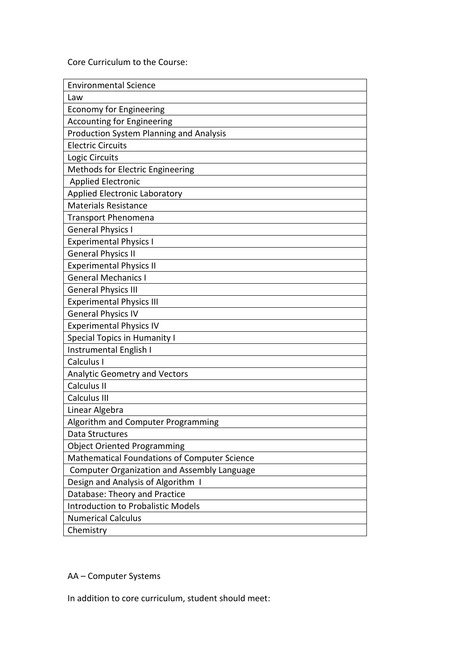Core Curriculum to the Course:

| <b>Environmental Science</b>                       |
|----------------------------------------------------|
| Law                                                |
| <b>Economy for Engineering</b>                     |
| <b>Accounting for Engineering</b>                  |
| <b>Production System Planning and Analysis</b>     |
| <b>Electric Circuits</b>                           |
| Logic Circuits                                     |
| Methods for Electric Engineering                   |
| <b>Applied Electronic</b>                          |
| <b>Applied Electronic Laboratory</b>               |
| <b>Materials Resistance</b>                        |
| <b>Transport Phenomena</b>                         |
| <b>General Physics I</b>                           |
| <b>Experimental Physics I</b>                      |
| <b>General Physics II</b>                          |
| <b>Experimental Physics II</b>                     |
| <b>General Mechanics I</b>                         |
| <b>General Physics III</b>                         |
| <b>Experimental Physics III</b>                    |
| <b>General Physics IV</b>                          |
| <b>Experimental Physics IV</b>                     |
| <b>Special Topics in Humanity I</b>                |
| Instrumental English I                             |
| Calculus I                                         |
| <b>Analytic Geometry and Vectors</b>               |
| Calculus II                                        |
| Calculus III                                       |
| Linear Algebra                                     |
| Algorithm and Computer Programming                 |
| Data Structures                                    |
| <b>Object Oriented Programming</b>                 |
| Mathematical Foundations of Computer Science       |
| <b>Computer Organization and Assembly Language</b> |
| Design and Analysis of Algorithm I                 |
| Database: Theory and Practice                      |
| <b>Introduction to Probalistic Models</b>          |
| <b>Numerical Calculus</b>                          |
| Chemistry                                          |

#### AA – Computer Systems

In addition to core curriculum, student should meet: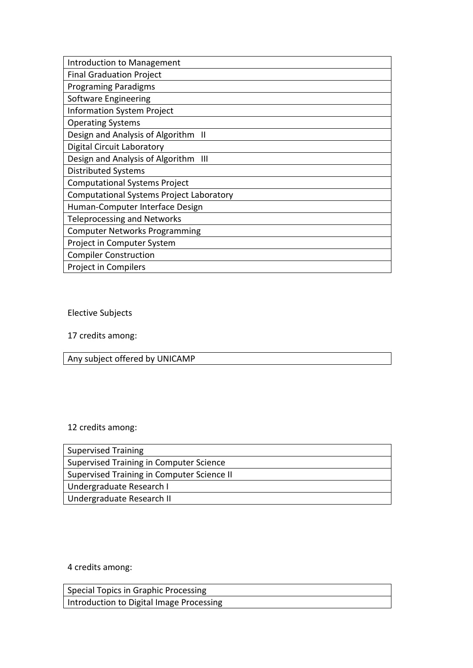| Introduction to Management                      |
|-------------------------------------------------|
| <b>Final Graduation Project</b>                 |
| <b>Programing Paradigms</b>                     |
| Software Engineering                            |
| <b>Information System Project</b>               |
| <b>Operating Systems</b>                        |
| Design and Analysis of Algorithm II             |
| <b>Digital Circuit Laboratory</b>               |
| Design and Analysis of Algorithm<br>Ш           |
| <b>Distributed Systems</b>                      |
| <b>Computational Systems Project</b>            |
| <b>Computational Systems Project Laboratory</b> |
| Human-Computer Interface Design                 |
| <b>Teleprocessing and Networks</b>              |
| <b>Computer Networks Programming</b>            |
| Project in Computer System                      |
| <b>Compiler Construction</b>                    |
| Project in Compilers                            |

Elective Subjects

17 credits among:

Any subject offered by UNICAMP

# 12 credits among:

| <b>Supervised Training</b>                 |
|--------------------------------------------|
| Supervised Training in Computer Science    |
| Supervised Training in Computer Science II |
| Undergraduate Research I                   |
| Undergraduate Research II                  |

4 credits among:

| Special Topics in Graphic Processing     |  |
|------------------------------------------|--|
| Introduction to Digital Image Processing |  |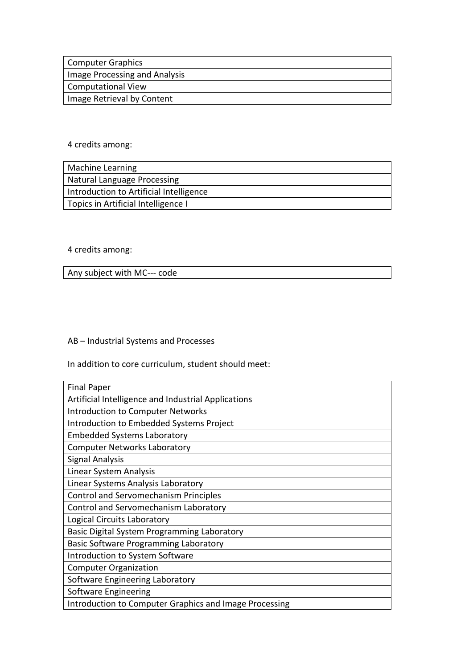| Computer Graphics             |
|-------------------------------|
| Image Processing and Analysis |
| Computational View            |
| Image Retrieval by Content    |

## 4 credits among:

| <b>Machine Learning</b>                 |
|-----------------------------------------|
| Natural Language Processing             |
| Introduction to Artificial Intelligence |
| Topics in Artificial Intelligence I     |

## 4 credits among:

Any subject with MC--- code

#### AB – Industrial Systems and Processes

In addition to core curriculum, student should meet:

| <b>Final Paper</b>                                     |
|--------------------------------------------------------|
| Artificial Intelligence and Industrial Applications    |
| <b>Introduction to Computer Networks</b>               |
| Introduction to Embedded Systems Project               |
| <b>Embedded Systems Laboratory</b>                     |
| <b>Computer Networks Laboratory</b>                    |
| <b>Signal Analysis</b>                                 |
| Linear System Analysis                                 |
| Linear Systems Analysis Laboratory                     |
| <b>Control and Servomechanism Principles</b>           |
| Control and Servomechanism Laboratory                  |
| Logical Circuits Laboratory                            |
| Basic Digital System Programming Laboratory            |
| Basic Software Programming Laboratory                  |
| Introduction to System Software                        |
| <b>Computer Organization</b>                           |
| Software Engineering Laboratory                        |
| Software Engineering                                   |
| Introduction to Computer Graphics and Image Processing |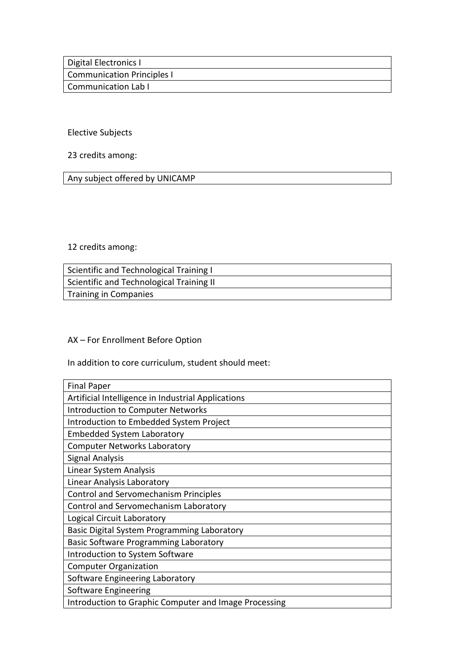| Digital Electronics I             |  |
|-----------------------------------|--|
| <b>Communication Principles I</b> |  |
| Communication Lab I               |  |

## Elective Subjects

# 23 credits among:

Any subject offered by UNICAMP

#### 12 credits among:

| Scientific and Technological Training I  |
|------------------------------------------|
| Scientific and Technological Training II |
| <b>Training in Companies</b>             |

# AX – For Enrollment Before Option

In addition to core curriculum, student should meet:

| <b>Final Paper</b>                                    |
|-------------------------------------------------------|
| Artificial Intelligence in Industrial Applications    |
| <b>Introduction to Computer Networks</b>              |
| Introduction to Embedded System Project               |
| <b>Embedded System Laboratory</b>                     |
| <b>Computer Networks Laboratory</b>                   |
| <b>Signal Analysis</b>                                |
| Linear System Analysis                                |
| Linear Analysis Laboratory                            |
| <b>Control and Servomechanism Principles</b>          |
| Control and Servomechanism Laboratory                 |
| Logical Circuit Laboratory                            |
| Basic Digital System Programming Laboratory           |
| Basic Software Programming Laboratory                 |
| Introduction to System Software                       |
| <b>Computer Organization</b>                          |
| Software Engineering Laboratory                       |
| Software Engineering                                  |
| Introduction to Graphic Computer and Image Processing |